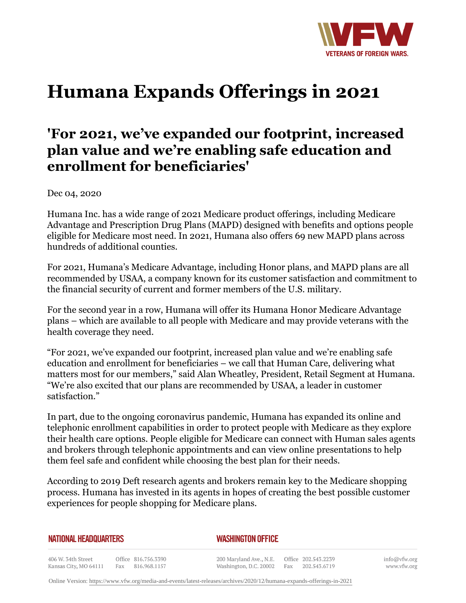

# **Humana Expands Offerings in 2021**

# **'For 2021, we've expanded our footprint, increased plan value and we're enabling safe education and enrollment for beneficiaries'**

Dec 04, 2020

Humana Inc. has a wide range of 2021 Medicare product offerings, including Medicare Advantage and Prescription Drug Plans (MAPD) designed with benefits and options people eligible for Medicare most need. In 2021, Humana also offers 69 new MAPD plans across hundreds of additional counties.

For 2021, Humana's Medicare Advantage, including Honor plans, and MAPD plans are all recommended by USAA, a company known for its customer satisfaction and commitment to the financial security of current and former members of the U.S. military.

For the second year in a row, Humana will offer its Humana Honor Medicare Advantage plans – which are available to all people with Medicare and may provide veterans with the health coverage they need.

"For 2021, we've expanded our footprint, increased plan value and we're enabling safe education and enrollment for beneficiaries – we call that Human Care, delivering what matters most for our members," said Alan Wheatley, President, Retail Segment at Humana. "We're also excited that our plans are recommended by USAA, a leader in customer satisfaction."

In part, due to the ongoing coronavirus pandemic, Humana has expanded its online and telephonic enrollment capabilities in order to protect people with Medicare as they explore their health care options. People eligible for Medicare can connect with Human sales agents and brokers through telephonic appointments and can view online presentations to help them feel safe and confident while choosing the best plan for their needs.

According to 2019 Deft research agents and brokers remain key to the Medicare shopping process. Humana has invested in its agents in hopes of creating the best possible customer experiences for people shopping for Medicare plans.

| <b>NATIONAL HEADQUARTERS</b> |  |  |  |  |
|------------------------------|--|--|--|--|
|------------------------------|--|--|--|--|

#### *WASHINGTON OFFICE*

406 W. 34th Street Office 816.756.3390 Fax 816.968.1157 Kansas City, MO 64111

200 Maryland Ave., N.E. Washington, D.C. 20002

Office 202.543.2239 Fax 202.543.6719 info@vfw.org www.vfw.org

Online Version:<https://www.vfw.org/media-and-events/latest-releases/archives/2020/12/humana-expands-offerings-in-2021>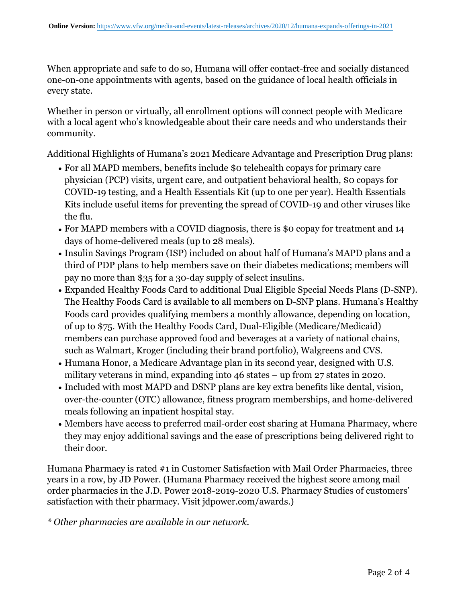When appropriate and safe to do so, Humana will offer contact-free and socially distanced one-on-one appointments with agents, based on the guidance of local health officials in every state.

Whether in person or virtually, all enrollment options will connect people with Medicare with a local agent who's knowledgeable about their care needs and who understands their community.

Additional Highlights of Humana's 2021 Medicare Advantage and Prescription Drug plans:

- For all MAPD members, benefits include \$0 telehealth copays for primary care physician (PCP) visits, urgent care, and outpatient behavioral health, \$0 copays for COVID-19 testing, and a Health Essentials Kit (up to one per year). Health Essentials Kits include useful items for preventing the spread of COVID-19 and other viruses like the flu.
- $\bullet$  For MAPD members with a COVID diagnosis, there is \$0 copay for treatment and 14 days of home-delivered meals (up to 28 meals).
- Insulin Savings Program (ISP) included on about half of Humana's MAPD plans and a third of PDP plans to help members save on their diabetes medications; members will pay no more than \$35 for a 30-day supply of select insulins.
- Expanded Healthy Foods Card to additional Dual Eligible Special Needs Plans (D-SNP). The Healthy Foods Card is available to all members on D-SNP plans. Humana's Healthy Foods card provides qualifying members a monthly allowance, depending on location, of up to \$75. With the Healthy Foods Card, Dual-Eligible (Medicare/Medicaid) members can purchase approved food and beverages at a variety of national chains, such as Walmart, Kroger (including their brand portfolio), Walgreens and CVS.
- Humana Honor, a Medicare Advantage plan in its second year, designed with U.S. military veterans in mind, expanding into 46 states – up from 27 states in 2020.
- Included with most MAPD and DSNP plans are key extra benefits like dental, vision, over-the-counter (OTC) allowance, fitness program memberships, and home-delivered meals following an inpatient hospital stay.
- $\bullet$  Members have access to preferred mail-order cost sharing at Humana Pharmacy, where they may enjoy additional savings and the ease of prescriptions being delivered right to their door.

Humana Pharmacy is rated #1 in Customer Satisfaction with Mail Order Pharmacies, three years in a row, by JD Power. (Humana Pharmacy received the highest score among mail order pharmacies in the J.D. Power 2018-2019-2020 U.S. Pharmacy Studies of customers' satisfaction with their pharmacy. Visit jdpower.com/awards.)

*\* Other pharmacies are available in our network.*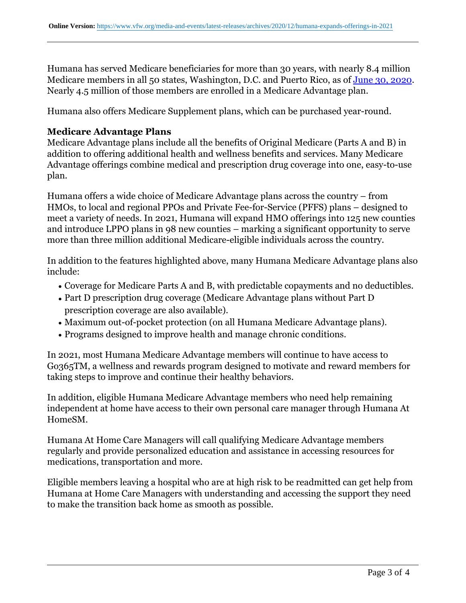Humana has served Medicare beneficiaries for more than 30 years, with nearly 8.4 million Medicare members in all 50 states, Washington, D.C. and Puerto Rico, as of [June 30, 2020](https:http://humana.gcs-web.com/financial-information/quarterly-results). Nearly 4.5 million of those members are enrolled in a Medicare Advantage plan.

Humana also offers Medicare Supplement plans, which can be purchased year-round.

## **Medicare Advantage Plans**

Medicare Advantage plans include all the benefits of Original Medicare (Parts A and B) in addition to offering additional health and wellness benefits and services. Many Medicare Advantage offerings combine medical and prescription drug coverage into one, easy-to-use plan.

Humana offers a wide choice of Medicare Advantage plans across the country – from HMOs, to local and regional PPOs and Private Fee-for-Service (PFFS) plans – designed to meet a variety of needs. In 2021, Humana will expand HMO offerings into 125 new counties and introduce LPPO plans in 98 new counties – marking a significant opportunity to serve more than three million additional Medicare-eligible individuals across the country.

In addition to the features highlighted above, many Humana Medicare Advantage plans also include:

- Coverage for Medicare Parts A and B, with predictable copayments and no deductibles.
- Part D prescription drug coverage (Medicare Advantage plans without Part D prescription coverage are also available).
- Maximum out-of-pocket protection (on all Humana Medicare Advantage plans).
- Programs designed to improve health and manage chronic conditions.

In 2021, most Humana Medicare Advantage members will continue to have access to Go365TM, a wellness and rewards program designed to motivate and reward members for taking steps to improve and continue their healthy behaviors.

In addition, eligible Humana Medicare Advantage members who need help remaining independent at home have access to their own personal care manager through Humana At HomeSM.

Humana At Home Care Managers will call qualifying Medicare Advantage members regularly and provide personalized education and assistance in accessing resources for medications, transportation and more.

Eligible members leaving a hospital who are at high risk to be readmitted can get help from Humana at Home Care Managers with understanding and accessing the support they need to make the transition back home as smooth as possible.